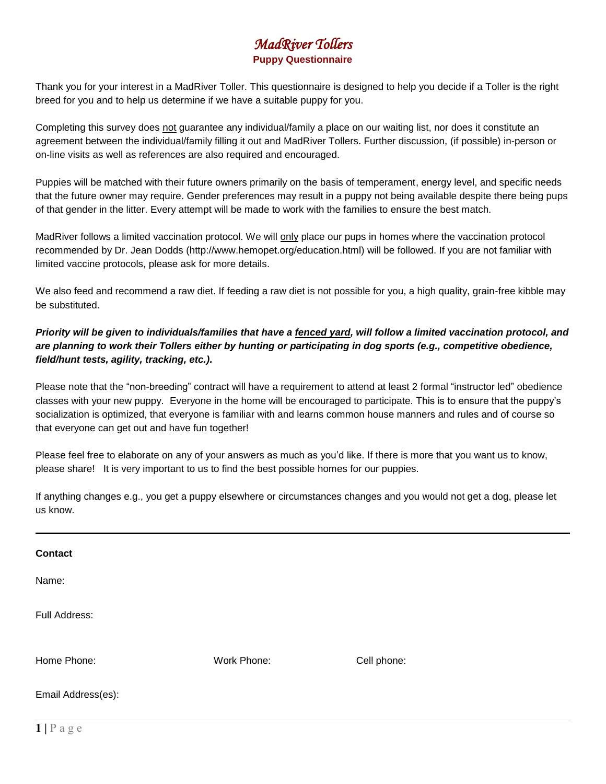# *MadRiver Tollers*  **Puppy Questionnaire**

Thank you for your interest in a MadRiver Toller. This questionnaire is designed to help you decide if a Toller is the right breed for you and to help us determine if we have a suitable puppy for you.

Completing this survey does not guarantee any individual/family a place on our waiting list, nor does it constitute an agreement between the individual/family filling it out and MadRiver Tollers. Further discussion, (if possible) in-person or on-line visits as well as references are also required and encouraged.

Puppies will be matched with their future owners primarily on the basis of temperament, energy level, and specific needs that the future owner may require. Gender preferences may result in a puppy not being available despite there being pups of that gender in the litter. Every attempt will be made to work with the families to ensure the best match.

MadRiver follows a limited vaccination protocol. We will only place our pups in homes where the vaccination protocol recommended by Dr. Jean Dodds (http://www.hemopet.org/education.html) will be followed. If you are not familiar with limited vaccine protocols, please ask for more details.

We also feed and recommend a raw diet. If feeding a raw diet is not possible for you, a high quality, grain-free kibble may be substituted.

# *Priority will be given to individuals/families that have a fenced yard, will follow a limited vaccination protocol, and are planning to work their Tollers either by hunting or participating in dog sports (e.g., competitive obedience, field/hunt tests, agility, tracking, etc.).*

Please note that the "non-breeding" contract will have a requirement to attend at least 2 formal "instructor led" obedience classes with your new puppy. Everyone in the home will be encouraged to participate. This is to ensure that the puppy's socialization is optimized, that everyone is familiar with and learns common house manners and rules and of course so that everyone can get out and have fun together!

Please feel free to elaborate on any of your answers as much as you'd like. If there is more that you want us to know, please share! It is very important to us to find the best possible homes for our puppies.

If anything changes e.g., you get a puppy elsewhere or circumstances changes and you would not get a dog, please let us know.

| Contact            |             |             |
|--------------------|-------------|-------------|
| Name:              |             |             |
| Full Address:      |             |             |
| Home Phone:        | Work Phone: | Cell phone: |
| Email Address(es): |             |             |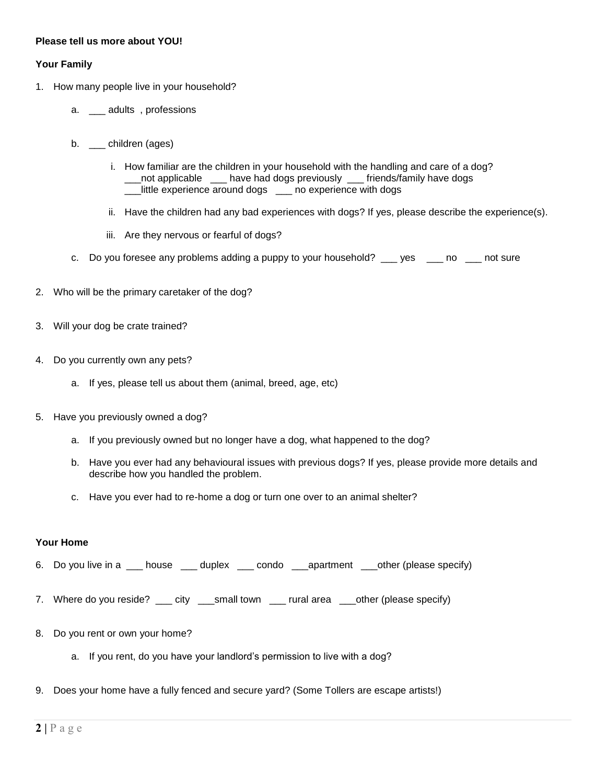## **Please tell us more about YOU!**

### **Your Family**

- 1. How many people live in your household?
	- a. \_\_ adults, professions
	- b. children (ages)
		- i. How familiar are the children in your household with the handling and care of a dog? \_\_\_not applicable \_\_\_ have had dogs previously \_\_\_ friends/family have dogs \_\_\_little experience around dogs \_\_\_ no experience with dogs
		- ii. Have the children had any bad experiences with dogs? If yes, please describe the experience(s).
		- iii. Are they nervous or fearful of dogs?
	- c. Do you foresee any problems adding a puppy to your household? \_\_\_ yes \_\_\_ no \_\_\_ not sure
- 2. Who will be the primary caretaker of the dog?
- 3. Will your dog be crate trained?
- 4. Do you currently own any pets?
	- a. If yes, please tell us about them (animal, breed, age, etc)
- 5. Have you previously owned a dog?
	- a. If you previously owned but no longer have a dog, what happened to the dog?
	- b. Have you ever had any behavioural issues with previous dogs? If yes, please provide more details and describe how you handled the problem.
	- c. Have you ever had to re-home a dog or turn one over to an animal shelter?

#### **Your Home**

- 6. Do you live in a \_\_\_ house \_\_\_ duplex \_\_\_ condo \_\_\_apartment \_\_\_other (please specify)
- 7. Where do you reside? \_\_\_ city \_\_\_small town \_\_\_ rural area \_\_\_other (please specify)
- 8. Do you rent or own your home?
	- a. If you rent, do you have your landlord's permission to live with a dog?
- 9. Does your home have a fully fenced and secure yard? (Some Tollers are escape artists!)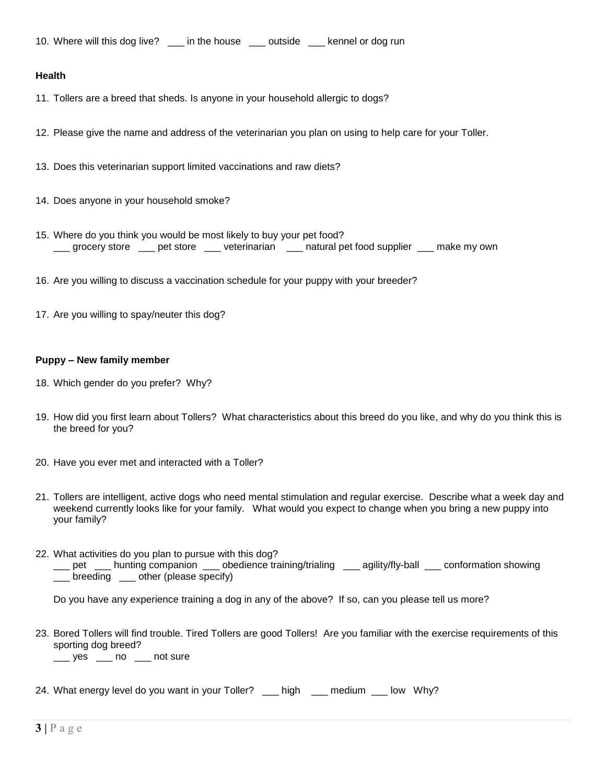10. Where will this dog live? \_\_\_ in the house \_\_\_ outside \_\_\_ kennel or dog run

#### **Health**

- 11. Tollers are a breed that sheds. Is anyone in your household allergic to dogs?
- 12. Please give the name and address of the veterinarian you plan on using to help care for your Toller.
- 13. Does this veterinarian support limited vaccinations and raw diets?
- 14. Does anyone in your household smoke?
- 15. Where do you think you would be most likely to buy your pet food? \_\_\_ grocery store \_\_\_ pet store \_\_\_ veterinarian \_\_\_ natural pet food supplier \_\_\_ make my own
- 16. Are you willing to discuss a vaccination schedule for your puppy with your breeder?
- 17. Are you willing to spay/neuter this dog?

### **Puppy – New family member**

- 18. Which gender do you prefer? Why?
- 19. How did you first learn about Tollers? What characteristics about this breed do you like, and why do you think this is the breed for you?
- 20. Have you ever met and interacted with a Toller?
- 21. Tollers are intelligent, active dogs who need mental stimulation and regular exercise. Describe what a week day and weekend currently looks like for your family. What would you expect to change when you bring a new puppy into your family?
- 22. What activities do you plan to pursue with this dog? \_\_\_ pet \_\_\_ hunting companion \_\_\_ obedience training/trialing \_\_\_ agility/fly-ball \_\_\_ conformation showing \_\_\_ breeding \_\_\_ other (please specify)

Do you have any experience training a dog in any of the above? If so, can you please tell us more?

- 23. Bored Tollers will find trouble. Tired Tollers are good Tollers! Are you familiar with the exercise requirements of this sporting dog breed?  $\frac{1}{2}$  yes  $\frac{1}{2}$  no  $\frac{1}{2}$  not sure
- 24. What energy level do you want in your Toller? \_\_\_ high \_\_\_ medium \_\_\_ low Why?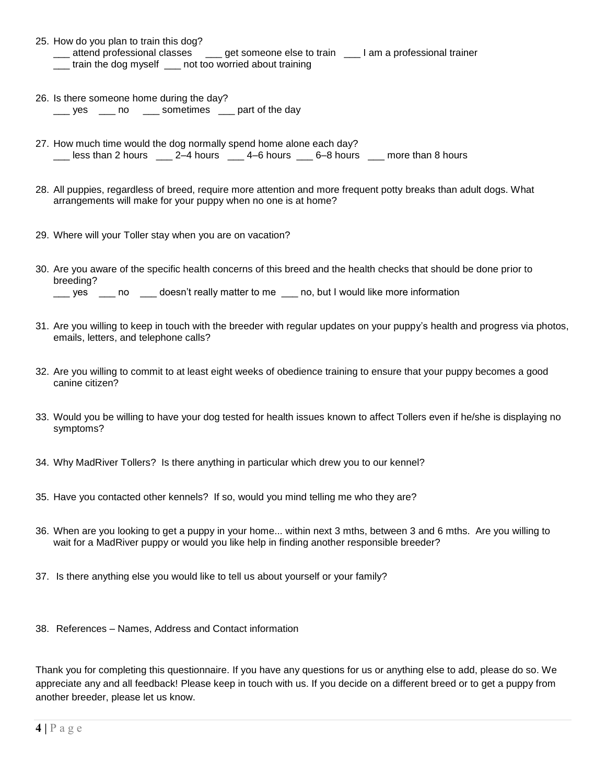- 25. How do you plan to train this dog? \_\_\_ attend professional classes \_\_\_ get someone else to train \_\_\_ I am a professional trainer \_\_\_ train the dog myself \_\_\_ not too worried about training
- 26. Is there someone home during the day? Loggies Loggies and part of the day
- 27. How much time would the dog normally spend home alone each day? \_\_\_ less than 2 hours \_\_\_ 2–4 hours \_\_\_ 4–6 hours \_\_\_ 6–8 hours \_\_\_ more than 8 hours
- 28. All puppies, regardless of breed, require more attention and more frequent potty breaks than adult dogs. What arrangements will make for your puppy when no one is at home?
- 29. Where will your Toller stay when you are on vacation?
- 30. Are you aware of the specific health concerns of this breed and the health checks that should be done prior to breeding? \_\_\_ yes \_\_\_ no \_\_\_ doesn't really matter to me \_\_\_ no, but I would like more information
- 31. Are you willing to keep in touch with the breeder with regular updates on your puppy's health and progress via photos, emails, letters, and telephone calls?
- 32. Are you willing to commit to at least eight weeks of obedience training to ensure that your puppy becomes a good canine citizen?
- 33. Would you be willing to have your dog tested for health issues known to affect Tollers even if he/she is displaying no symptoms?
- 34. Why MadRiver Tollers? Is there anything in particular which drew you to our kennel?
- 35. Have you contacted other kennels? If so, would you mind telling me who they are?
- 36. When are you looking to get a puppy in your home... within next 3 mths, between 3 and 6 mths. Are you willing to wait for a MadRiver puppy or would you like help in finding another responsible breeder?
- 37. Is there anything else you would like to tell us about yourself or your family?
- 38. References Names, Address and Contact information

Thank you for completing this questionnaire. If you have any questions for us or anything else to add, please do so. We appreciate any and all feedback! Please keep in touch with us. If you decide on a different breed or to get a puppy from another breeder, please let us know.